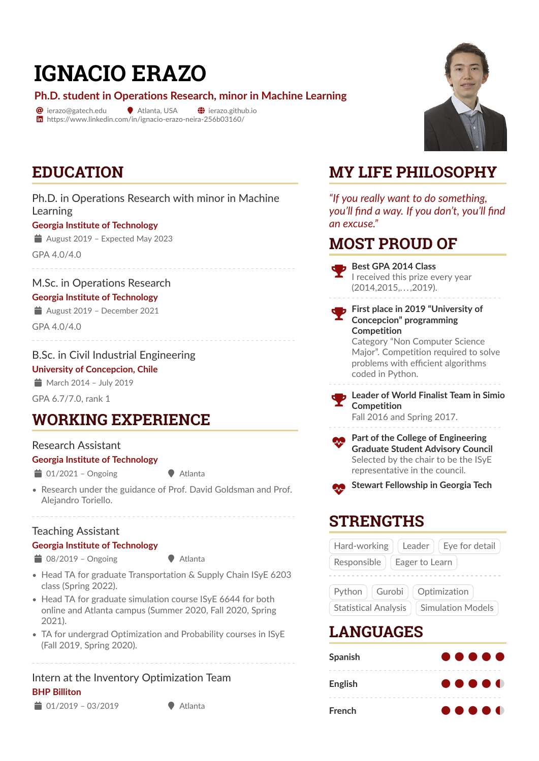# **IGNACIO ERAZO**

**Ph.D. student in Operations Research, minor in Machine Learning**

 $\bullet$  ierazo@gatech.edu  $\bullet$  Atlanta, USA  $\bullet$  ierazo.github.io in https://www.linkedin.com/in/ignacio-erazo-neira-256b03160/



# **EDUCATION**

Ph.D. in Operations Research with minor in Machine Learning **Georgia Institute of Technology**

August 2019 - Expected May 2023

GPA 4.0/4.0

M.Sc. in Operations Research **Georgia Institute of Technology**

August 2019 – December 2021

GPA 4.0/4.0

B.Sc. in Civil Industrial Engineering

**University of Concepcion, Chile**

 $M$  March 2014 - July 2019

GPA 6.7/7.0, rank 1

## **WORKING EXPERIENCE**

### Research Assistant

#### **Georgia Institute of Technology**

 $\bullet$  01/2021 – Ongoing  $\bullet$  Atlanta

• Research under the guidance of Prof. David Goldsman and Prof. Alejandro Toriello.

### Teaching Assistant

**Georgia Institute of Technology**  $\bullet$  08/2019 – Ongoing  $\bullet$  Atlanta

- Head TA for graduate Transportation & Supply Chain ISyE 6203 class (Spring 2022).
- Head TA for graduate simulation course ISvE 6644 for both online and Atlanta campus (Summer 2020, Fall 2020, Spring 2021).
- TA for undergrad Optimization and Probability courses in ISyE (Fall 2019, Spring 2020).

### Intern at the Inventory Optimization Team **BHP Billiton**

 $\bullet$  01/2019 – 03/2019

# **MY LIFE PHILOSOPHY**

*"If you really want to do something, you'll find a way. If you don't, you'll find an excuse."*

## **MOST PROUD OF**

 **Best GPA 2014 Class** I received this prize every year (2014,2015,. . . ,2019).

 **First place in 2019 "University of Concepcion" programming Competition**

Category "Non Computer Science Major". Competition required to solve problems with efficient algorithms coded in Python.



 **Leader of World Finalist Team in Simio Competition** Fall 2016 and Spring 2017.

**Part of the College of Engineering Graduate Student Advisory Council** Selected by the chair to be the ISyE representative in the council.



Æ **Stewart Fellowship in Georgia Tech**

## **STRENGTHS**



## **LANGUAGES**

| <b>Spanish</b> | $\bullet\bullet\bullet\bullet\bullet$ |
|----------------|---------------------------------------|
|                |                                       |
| English        | $\bullet\bullet\bullet\bullet\bullet$ |
|                |                                       |
| French         | $\bullet\bullet\bullet\bullet\bullet$ |